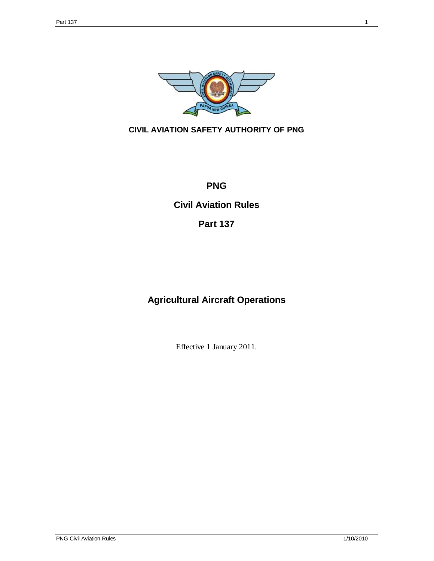

# **CIVIL AVIATION SAFETY AUTHORITY OF PNG**

# **PNG**

# **Civil Aviation Rules**

# **Part 137**

# **Agricultural Aircraft Operations**

Effective 1 January 2011.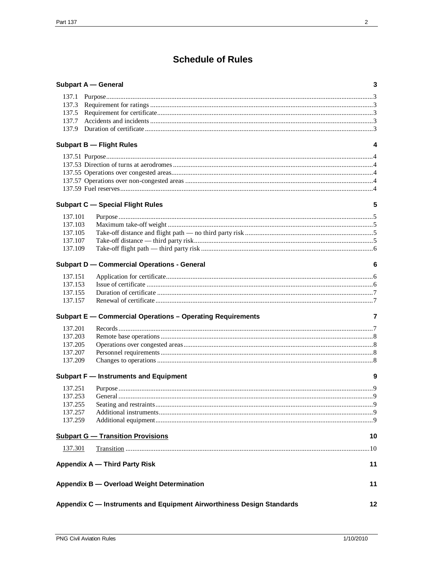# **Schedule of Rules**

|                | <b>Subpart A - General</b>                                            | 3  |
|----------------|-----------------------------------------------------------------------|----|
| 137.1          |                                                                       |    |
| 137.3          |                                                                       |    |
| 137.5          |                                                                       |    |
| 137.7          |                                                                       |    |
| 137.9          |                                                                       |    |
|                | <b>Subpart B - Flight Rules</b>                                       | 4  |
|                |                                                                       |    |
|                |                                                                       |    |
|                |                                                                       |    |
|                |                                                                       |    |
|                |                                                                       |    |
|                | <b>Subpart C - Special Flight Rules</b>                               | 5  |
| 137.101        |                                                                       |    |
| 137.103        |                                                                       |    |
| 137.105        |                                                                       |    |
| 137.107        |                                                                       |    |
| 137.109        |                                                                       |    |
|                | <b>Subpart D - Commercial Operations - General</b>                    | 6  |
| 137.151        |                                                                       |    |
| 137.153        |                                                                       |    |
| 137.155        |                                                                       |    |
| 137.157        |                                                                       |    |
|                | Subpart E - Commercial Operations - Operating Requirements            | 7  |
| 137.201        |                                                                       |    |
| 137.203        |                                                                       |    |
| 137.205        |                                                                       |    |
| 137.207        |                                                                       |    |
| 137.209        |                                                                       |    |
|                | Subpart F - Instruments and Equipment                                 | 9  |
| 137.251        |                                                                       |    |
| 137.253        |                                                                       |    |
| 137.255        |                                                                       |    |
| 137.257        |                                                                       |    |
| 137.259        |                                                                       |    |
|                | <b>Subpart G - Transition Provisions</b>                              | 10 |
| <u>137.301</u> |                                                                       |    |
|                | <b>Appendix A - Third Party Risk</b>                                  | 11 |
|                | Appendix B - Overload Weight Determination                            | 11 |
|                | Appendix C - Instruments and Equipment Airworthiness Design Standards | 12 |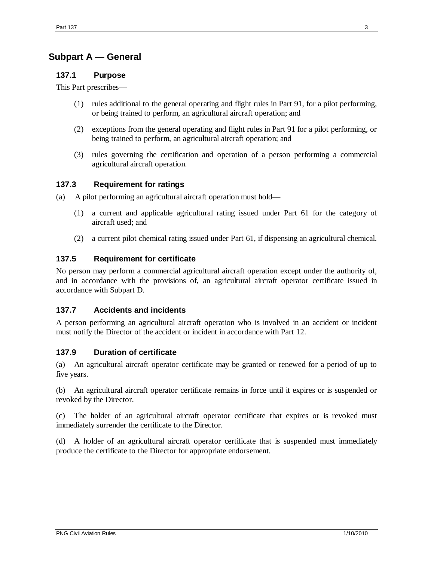# **Subpart A — General**

### **137.1 Purpose**

This Part prescribes—

- (1) rules additional to the general operating and flight rules in Part 91, for a pilot performing, or being trained to perform, an agricultural aircraft operation; and
- (2) exceptions from the general operating and flight rules in Part 91 for a pilot performing, or being trained to perform, an agricultural aircraft operation; and
- (3) rules governing the certification and operation of a person performing a commercial agricultural aircraft operation.

## **137.3 Requirement for ratings**

- (a) A pilot performing an agricultural aircraft operation must hold—
	- (1) a current and applicable agricultural rating issued under Part 61 for the category of aircraft used; and
	- (2) a current pilot chemical rating issued under Part 61, if dispensing an agricultural chemical.

### **137.5 Requirement for certificate**

No person may perform a commercial agricultural aircraft operation except under the authority of, and in accordance with the provisions of, an agricultural aircraft operator certificate issued in accordance with Subpart D.

#### **137.7 Accidents and incidents**

A person performing an agricultural aircraft operation who is involved in an accident or incident must notify the Director of the accident or incident in accordance with Part 12.

#### **137.9 Duration of certificate**

(a) An agricultural aircraft operator certificate may be granted or renewed for a period of up to five years.

(b) An agricultural aircraft operator certificate remains in force until it expires or is suspended or revoked by the Director.

(c) The holder of an agricultural aircraft operator certificate that expires or is revoked must immediately surrender the certificate to the Director.

(d) A holder of an agricultural aircraft operator certificate that is suspended must immediately produce the certificate to the Director for appropriate endorsement.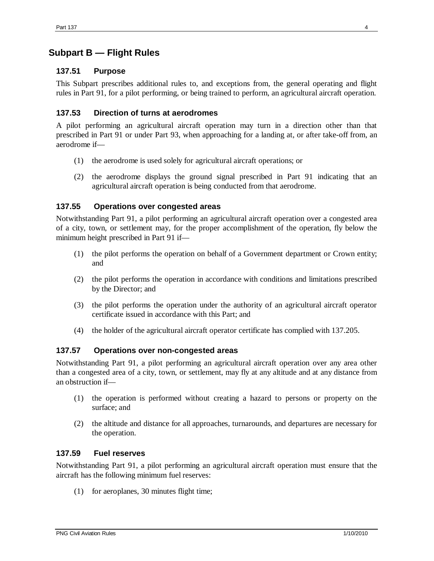# **Subpart B — Flight Rules**

### **137.51 Purpose**

This Subpart prescribes additional rules to, and exceptions from, the general operating and flight rules in Part 91, for a pilot performing, or being trained to perform, an agricultural aircraft operation.

### **137.53 Direction of turns at aerodromes**

A pilot performing an agricultural aircraft operation may turn in a direction other than that prescribed in Part 91 or under Part 93, when approaching for a landing at, or after take-off from, an aerodrome if—

- (1) the aerodrome is used solely for agricultural aircraft operations; or
- (2) the aerodrome displays the ground signal prescribed in Part 91 indicating that an agricultural aircraft operation is being conducted from that aerodrome.

### **137.55 Operations over congested areas**

Notwithstanding Part 91, a pilot performing an agricultural aircraft operation over a congested area of a city, town, or settlement may, for the proper accomplishment of the operation, fly below the minimum height prescribed in Part 91 if—

- (1) the pilot performs the operation on behalf of a Government department or Crown entity; and
- (2) the pilot performs the operation in accordance with conditions and limitations prescribed by the Director; and
- (3) the pilot performs the operation under the authority of an agricultural aircraft operator certificate issued in accordance with this Part; and
- (4) the holder of the agricultural aircraft operator certificate has complied with 137.205.

#### **137.57 Operations over non-congested areas**

Notwithstanding Part 91, a pilot performing an agricultural aircraft operation over any area other than a congested area of a city, town, or settlement, may fly at any altitude and at any distance from an obstruction if—

- (1) the operation is performed without creating a hazard to persons or property on the surface; and
- (2) the altitude and distance for all approaches, turnarounds, and departures are necessary for the operation.

#### **137.59 Fuel reserves**

Notwithstanding Part 91, a pilot performing an agricultural aircraft operation must ensure that the aircraft has the following minimum fuel reserves:

(1) for aeroplanes, 30 minutes flight time;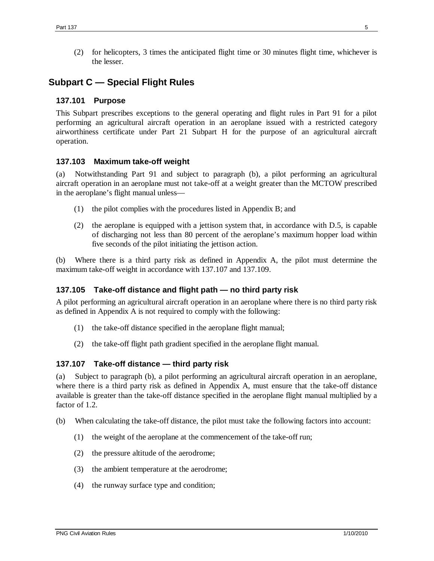(2) for helicopters, 3 times the anticipated flight time or 30 minutes flight time, whichever is the lesser.

# **Subpart C — Special Flight Rules**

### **137.101 Purpose**

This Subpart prescribes exceptions to the general operating and flight rules in Part 91 for a pilot performing an agricultural aircraft operation in an aeroplane issued with a restricted category airworthiness certificate under Part 21 Subpart H for the purpose of an agricultural aircraft operation.

### **137.103 Maximum take-off weight**

(a) Notwithstanding Part 91 and subject to paragraph (b), a pilot performing an agricultural aircraft operation in an aeroplane must not take-off at a weight greater than the MCTOW prescribed in the aeroplane's flight manual unless—

- (1) the pilot complies with the procedures listed in Appendix B; and
- (2) the aeroplane is equipped with a jettison system that, in accordance with D.5, is capable of discharging not less than 80 percent of the aeroplane's maximum hopper load within five seconds of the pilot initiating the jettison action.

(b) Where there is a third party risk as defined in Appendix A, the pilot must determine the maximum take-off weight in accordance with 137.107 and 137.109.

#### **137.105 Take-off distance and flight path — no third party risk**

A pilot performing an agricultural aircraft operation in an aeroplane where there is no third party risk as defined in Appendix A is not required to comply with the following:

- (1) the take-off distance specified in the aeroplane flight manual;
- (2) the take-off flight path gradient specified in the aeroplane flight manual.

#### **137.107 Take-off distance — third party risk**

(a) Subject to paragraph (b), a pilot performing an agricultural aircraft operation in an aeroplane, where there is a third party risk as defined in Appendix A, must ensure that the take-off distance available is greater than the take-off distance specified in the aeroplane flight manual multiplied by a factor of 1.2.

- (b) When calculating the take-off distance, the pilot must take the following factors into account:
	- (1) the weight of the aeroplane at the commencement of the take-off run;
	- (2) the pressure altitude of the aerodrome;
	- (3) the ambient temperature at the aerodrome;
	- (4) the runway surface type and condition;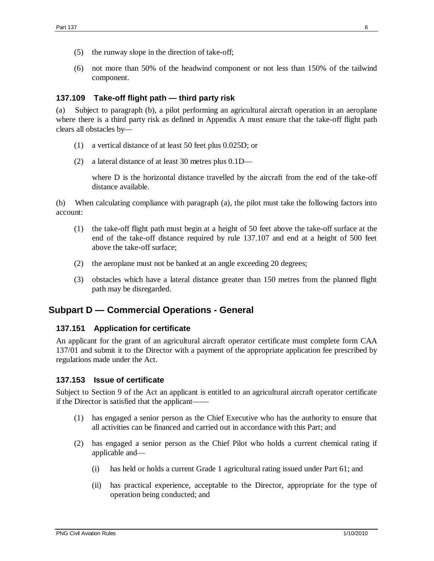- (5) the runway slope in the direction of take-off;
- (6) not more than 50% of the headwind component or not less than 150% of the tailwind component.

#### **137.109 Take-off flight path — third party risk**

Subject to paragraph (b), a pilot performing an agricultural aircraft operation in an aeroplane where there is a third party risk as defined in Appendix A must ensure that the take-off flight path clears all obstacles by—

- (1) a vertical distance of at least 50 feet plus 0.025D; or
- (2) a lateral distance of at least 30 metres plus 0.1D—

where D is the horizontal distance travelled by the aircraft from the end of the take-off distance available.

(b) When calculating compliance with paragraph (a), the pilot must take the following factors into account:

- (1) the take-off flight path must begin at a height of 50 feet above the take-off surface at the end of the take-off distance required by rule 137.107 and end at a height of 500 feet above the take-off surface;
- (2) the aeroplane must not be banked at an angle exceeding 20 degrees;
- (3) obstacles which have a lateral distance greater than 150 metres from the planned flight path may be disregarded.

## **Subpart D — Commercial Operations - General**

#### **137.151 Application for certificate**

An applicant for the grant of an agricultural aircraft operator certificate must complete form CAA 137/01 and submit it to the Director with a payment of the appropriate application fee prescribed by regulations made under the Act.

#### **137.153 Issue of certificate**

Subject to Section 9 of the Act an applicant is entitled to an agricultural aircraft operator certificate if the Director is satisfied that the applicant——

- (1) has engaged a senior person as the Chief Executive who has the authority to ensure that all activities can be financed and carried out in accordance with this Part; and
- (2) has engaged a senior person as the Chief Pilot who holds a current chemical rating if applicable and—
	- (i) has held or holds a current Grade 1 agricultural rating issued under Part 61; and
	- (ii) has practical experience, acceptable to the Director, appropriate for the type of operation being conducted; and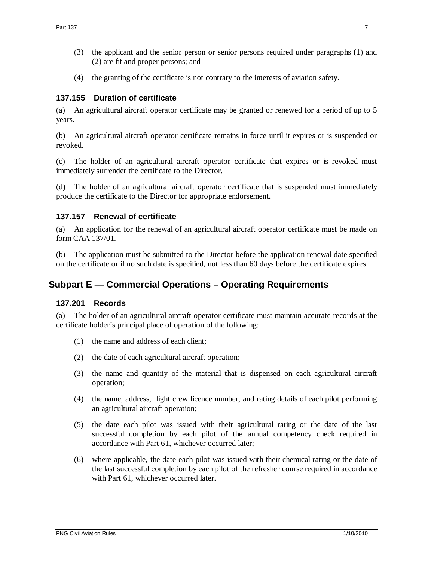- (3) the applicant and the senior person or senior persons required under paragraphs (1) and (2) are fit and proper persons; and
- (4) the granting of the certificate is not contrary to the interests of aviation safety.

### **137.155 Duration of certificate**

(a) An agricultural aircraft operator certificate may be granted or renewed for a period of up to 5 years.

(b) An agricultural aircraft operator certificate remains in force until it expires or is suspended or revoked.

(c) The holder of an agricultural aircraft operator certificate that expires or is revoked must immediately surrender the certificate to the Director.

(d) The holder of an agricultural aircraft operator certificate that is suspended must immediately produce the certificate to the Director for appropriate endorsement.

#### **137.157 Renewal of certificate**

(a) An application for the renewal of an agricultural aircraft operator certificate must be made on form CAA 137/01.

(b) The application must be submitted to the Director before the application renewal date specified on the certificate or if no such date is specified, not less than 60 days before the certificate expires.

# **Subpart E — Commercial Operations – Operating Requirements**

#### **137.201 Records**

(a) The holder of an agricultural aircraft operator certificate must maintain accurate records at the certificate holder's principal place of operation of the following:

- (1) the name and address of each client;
- (2) the date of each agricultural aircraft operation;
- (3) the name and quantity of the material that is dispensed on each agricultural aircraft operation;
- (4) the name, address, flight crew licence number, and rating details of each pilot performing an agricultural aircraft operation;
- (5) the date each pilot was issued with their agricultural rating or the date of the last successful completion by each pilot of the annual competency check required in accordance with Part 61, whichever occurred later;
- (6) where applicable, the date each pilot was issued with their chemical rating or the date of the last successful completion by each pilot of the refresher course required in accordance with Part 61, whichever occurred later.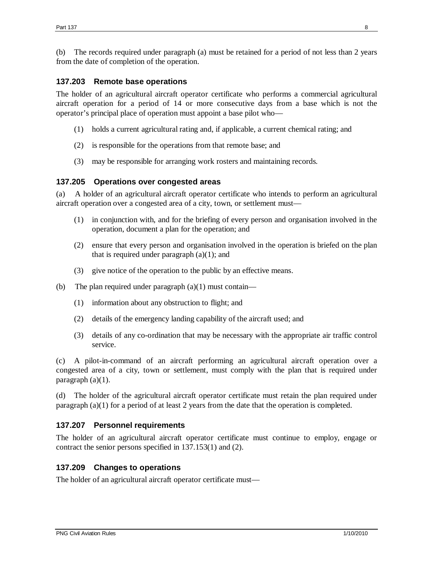(b) The records required under paragraph (a) must be retained for a period of not less than 2 years from the date of completion of the operation.

#### **137.203 Remote base operations**

The holder of an agricultural aircraft operator certificate who performs a commercial agricultural aircraft operation for a period of 14 or more consecutive days from a base which is not the operator's principal place of operation must appoint a base pilot who—

- (1) holds a current agricultural rating and, if applicable, a current chemical rating; and
- (2) is responsible for the operations from that remote base; and
- (3) may be responsible for arranging work rosters and maintaining records.

### **137.205 Operations over congested areas**

(a) A holder of an agricultural aircraft operator certificate who intends to perform an agricultural aircraft operation over a congested area of a city, town, or settlement must—

- (1) in conjunction with, and for the briefing of every person and organisation involved in the operation, document a plan for the operation; and
- (2) ensure that every person and organisation involved in the operation is briefed on the plan that is required under paragraph  $(a)(1)$ ; and
- (3) give notice of the operation to the public by an effective means.
- (b) The plan required under paragraph  $(a)(1)$  must contain—
	- (1) information about any obstruction to flight; and
	- (2) details of the emergency landing capability of the aircraft used; and
	- (3) details of any co-ordination that may be necessary with the appropriate air traffic control service.

(c) A pilot-in-command of an aircraft performing an agricultural aircraft operation over a congested area of a city, town or settlement, must comply with the plan that is required under paragraph (a)(1).

(d) The holder of the agricultural aircraft operator certificate must retain the plan required under paragraph (a)(1) for a period of at least 2 years from the date that the operation is completed.

## **137.207 Personnel requirements**

The holder of an agricultural aircraft operator certificate must continue to employ, engage or contract the senior persons specified in 137.153(1) and (2).

## **137.209 Changes to operations**

The holder of an agricultural aircraft operator certificate must—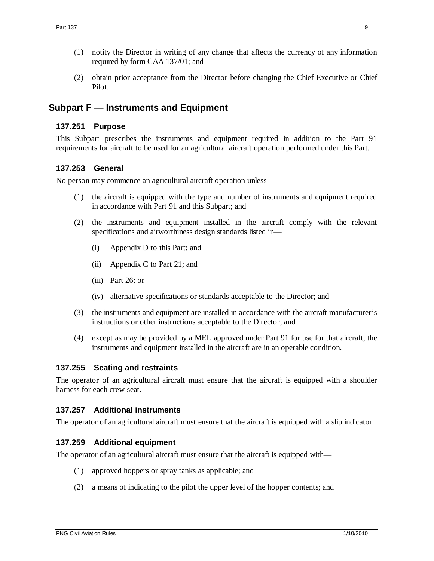- (1) notify the Director in writing of any change that affects the currency of any information required by form CAA 137/01; and
- (2) obtain prior acceptance from the Director before changing the Chief Executive or Chief Pilot.

# **Subpart F — Instruments and Equipment**

#### **137.251 Purpose**

This Subpart prescribes the instruments and equipment required in addition to the Part 91 requirements for aircraft to be used for an agricultural aircraft operation performed under this Part.

#### **137.253 General**

No person may commence an agricultural aircraft operation unless—

- (1) the aircraft is equipped with the type and number of instruments and equipment required in accordance with Part 91 and this Subpart; and
- (2) the instruments and equipment installed in the aircraft comply with the relevant specifications and airworthiness design standards listed in—
	- (i) Appendix D to this Part; and
	- (ii) Appendix C to Part 21; and
	- (iii) Part 26; or
	- (iv) alternative specifications or standards acceptable to the Director; and
- (3) the instruments and equipment are installed in accordance with the aircraft manufacturer's instructions or other instructions acceptable to the Director; and
- (4) except as may be provided by a MEL approved under Part 91 for use for that aircraft, the instruments and equipment installed in the aircraft are in an operable condition.

#### **137.255 Seating and restraints**

The operator of an agricultural aircraft must ensure that the aircraft is equipped with a shoulder harness for each crew seat.

#### **137.257 Additional instruments**

The operator of an agricultural aircraft must ensure that the aircraft is equipped with a slip indicator.

#### **137.259 Additional equipment**

The operator of an agricultural aircraft must ensure that the aircraft is equipped with—

- (1) approved hoppers or spray tanks as applicable; and
- (2) a means of indicating to the pilot the upper level of the hopper contents; and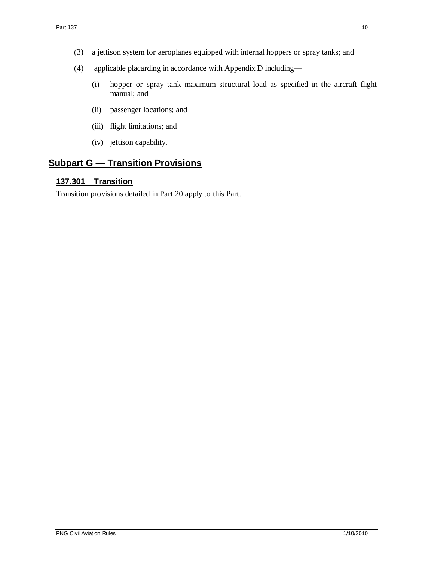- (3) a jettison system for aeroplanes equipped with internal hoppers or spray tanks; and
- (4) applicable placarding in accordance with Appendix D including—
	- (i) hopper or spray tank maximum structural load as specified in the aircraft flight manual; and
	- (ii) passenger locations; and
	- (iii) flight limitations; and
	- (iv) jettison capability.

# **Subpart G — Transition Provisions**

## **137.301 Transition**

Transition provisions detailed in Part 20 apply to this Part.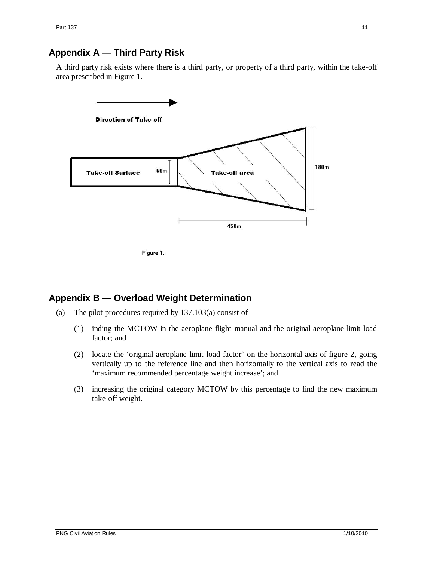# **Appendix A — Third Party Risk**

A third party risk exists where there is a third party, or property of a third party, within the take-off area prescribed in Figure 1.



Figure 1.

## **Appendix B — Overload Weight Determination**

- (a) The pilot procedures required by 137.103(a) consist of—
	- (1) inding the MCTOW in the aeroplane flight manual and the original aeroplane limit load factor; and
	- (2) locate the 'original aeroplane limit load factor' on the horizontal axis of figure 2, going vertically up to the reference line and then horizontally to the vertical axis to read the 'maximum recommended percentage weight increase'; and
	- (3) increasing the original category MCTOW by this percentage to find the new maximum take-off weight.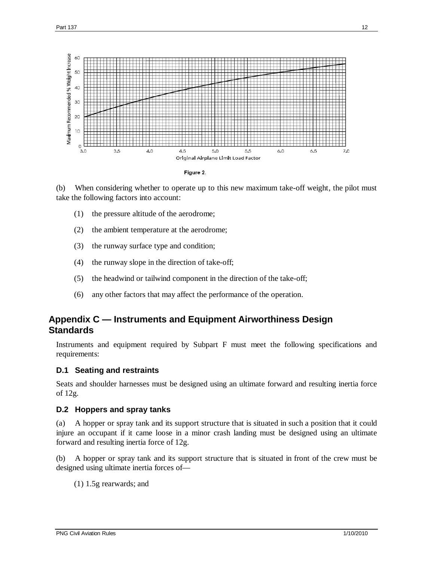

(b) When considering whether to operate up to this new maximum take-off weight, the pilot must take the following factors into account:

- (1) the pressure altitude of the aerodrome;
- (2) the ambient temperature at the aerodrome;
- (3) the runway surface type and condition;
- (4) the runway slope in the direction of take-off;
- (5) the headwind or tailwind component in the direction of the take-off;
- (6) any other factors that may affect the performance of the operation.

# **Appendix C — Instruments and Equipment Airworthiness Design Standards**

Instruments and equipment required by Subpart F must meet the following specifications and requirements:

#### **D.1 Seating and restraints**

Seats and shoulder harnesses must be designed using an ultimate forward and resulting inertia force of 12g.

#### **D.2 Hoppers and spray tanks**

(a) A hopper or spray tank and its support structure that is situated in such a position that it could injure an occupant if it came loose in a minor crash landing must be designed using an ultimate forward and resulting inertia force of 12g.

(b) A hopper or spray tank and its support structure that is situated in front of the crew must be designed using ultimate inertia forces of—

(1) 1.5g rearwards; and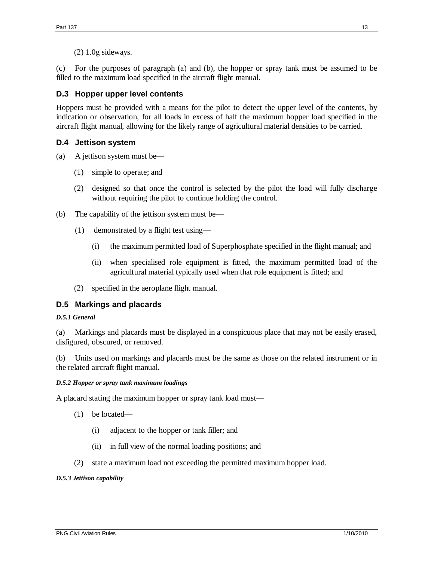(2) 1.0g sideways.

(c) For the purposes of paragraph (a) and (b), the hopper or spray tank must be assumed to be filled to the maximum load specified in the aircraft flight manual.

## **D.3 Hopper upper level contents**

Hoppers must be provided with a means for the pilot to detect the upper level of the contents, by indication or observation, for all loads in excess of half the maximum hopper load specified in the aircraft flight manual, allowing for the likely range of agricultural material densities to be carried.

## **D.4 Jettison system**

- (a) A jettison system must be—
	- (1) simple to operate; and
	- (2) designed so that once the control is selected by the pilot the load will fully discharge without requiring the pilot to continue holding the control.
- (b) The capability of the jettison system must be—
	- (1) demonstrated by a flight test using—
		- (i) the maximum permitted load of Superphosphate specified in the flight manual; and
		- (ii) when specialised role equipment is fitted, the maximum permitted load of the agricultural material typically used when that role equipment is fitted; and
	- (2) specified in the aeroplane flight manual.

## **D.5 Markings and placards**

#### *D.5.1 General*

(a) Markings and placards must be displayed in a conspicuous place that may not be easily erased, disfigured, obscured, or removed.

(b) Units used on markings and placards must be the same as those on the related instrument or in the related aircraft flight manual.

#### *D.5.2 Hopper or spray tank maximum loadings*

A placard stating the maximum hopper or spray tank load must—

- (1) be located—
	- (i) adjacent to the hopper or tank filler; and
	- (ii) in full view of the normal loading positions; and
- (2) state a maximum load not exceeding the permitted maximum hopper load.

#### *D.5.3 Jettison capability*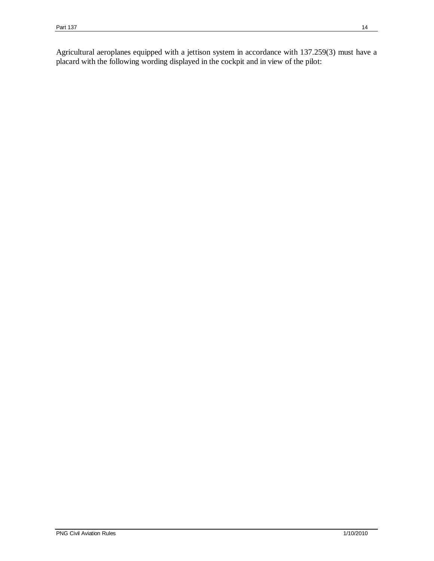Agricultural aeroplanes equipped with a jettison system in accordance with 137.259(3) must have a placard with the following wording displayed in the cockpit and in view of the pilot: